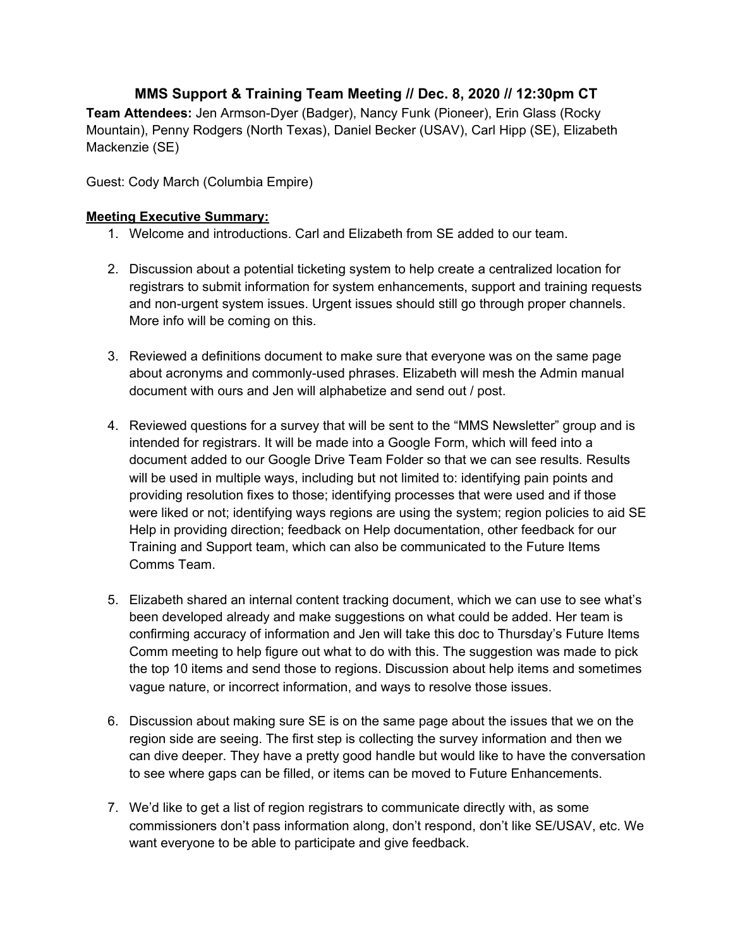## **MMS Support & Training Team Meeting // Dec. 8, 2020 // 12:30pm CT**

**Team Attendees:** Jen Armson-Dyer (Badger), Nancy Funk (Pioneer), Erin Glass (Rocky Mountain), Penny Rodgers (North Texas), Daniel Becker (USAV), Carl Hipp (SE), Elizabeth Mackenzie (SE)

Guest: Cody March (Columbia Empire)

## **Meeting Executive Summary:**

- 1. Welcome and introductions. Carl and Elizabeth from SE added to our team.
- 2. Discussion about a potential ticketing system to help create a centralized location for registrars to submit information for system enhancements, support and training requests and non-urgent system issues. Urgent issues should still go through proper channels. More info will be coming on this.
- 3. Reviewed a definitions document to make sure that everyone was on the same page about acronyms and commonly-used phrases. Elizabeth will mesh the Admin manual document with ours and Jen will alphabetize and send out / post.
- 4. Reviewed questions for a survey that will be sent to the "MMS Newsletter" group and is intended for registrars. It will be made into a Google Form, which will feed into a document added to our Google Drive Team Folder so that we can see results. Results will be used in multiple ways, including but not limited to: identifying pain points and providing resolution fixes to those; identifying processes that were used and if those were liked or not; identifying ways regions are using the system; region policies to aid SE Help in providing direction; feedback on Help documentation, other feedback for our Training and Support team, which can also be communicated to the Future Items Comms Team.
- 5. Elizabeth shared an internal content tracking document, which we can use to see what's been developed already and make suggestions on what could be added. Her team is confirming accuracy of information and Jen will take this doc to Thursday's Future Items Comm meeting to help figure out what to do with this. The suggestion was made to pick the top 10 items and send those to regions. Discussion about help items and sometimes vague nature, or incorrect information, and ways to resolve those issues.
- 6. Discussion about making sure SE is on the same page about the issues that we on the region side are seeing. The first step is collecting the survey information and then we can dive deeper. They have a pretty good handle but would like to have the conversation to see where gaps can be filled, or items can be moved to Future Enhancements.
- 7. We'd like to get a list of region registrars to communicate directly with, as some commissioners don't pass information along, don't respond, don't like SE/USAV, etc. We want everyone to be able to participate and give feedback.